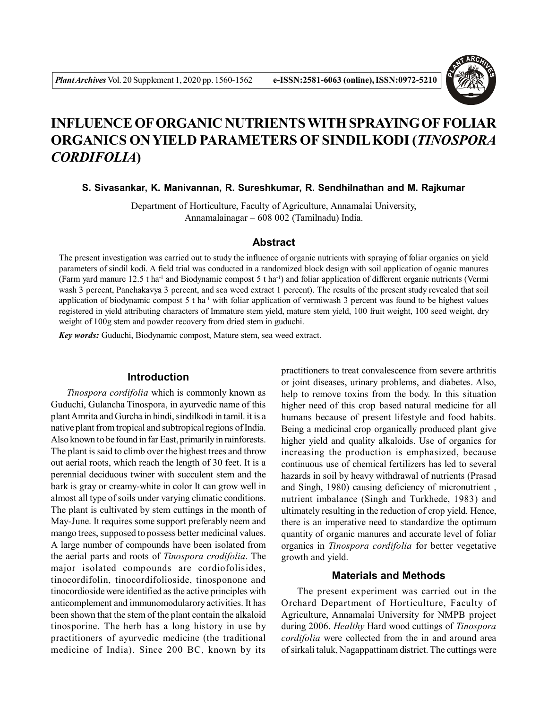

# **INFLUENCE OF ORGANIC NUTRIENTS WITH SPRAYING OF FOLIAR ORGANICS ON YIELD PARAMETERS OF SINDIL KODI (***TINOSPORA CORDIFOLIA***)**

**S. Sivasankar, K. Manivannan, R. Sureshkumar, R. Sendhilnathan and M. Rajkumar**

Department of Horticulture, Faculty of Agriculture, Annamalai University, Annamalainagar – 608 002 (Tamilnadu) India.

# **Abstract**

The present investigation was carried out to study the influence of organic nutrients with spraying of foliar organics on yield parameters of sindil kodi. A field trial was conducted in a randomized block design with soil application of oganic manures (Farm yard manure  $12.5$  t ha<sup>-1</sup> and Biodynamic compost 5 t ha<sup>-1</sup>) and foliar application of different organic nutrients (Vermi wash 3 percent, Panchakavya 3 percent, and sea weed extract 1 percent). The results of the present study revealed that soil application of biodynamic compost  $5$  t ha<sup>-1</sup> with foliar application of vermiwash 3 percent was found to be highest values registered in yield attributing characters of Immature stem yield, mature stem yield, 100 fruit weight, 100 seed weight, dry weight of 100g stem and powder recovery from dried stem in guduchi.

*Key words:* Guduchi, Biodynamic compost, Mature stem, sea weed extract.

## **Introduction**

*Tinospora cordifolia* which is commonly known as Guduchi, Gulancha Tinospora, in ayurvedic name of this plant Amrita and Gurcha in hindi, sindilkodi in tamil. it is a native plant from tropical and subtropical regions of India. Also known to be found in far East, primarily in rainforests. The plant is said to climb over the highest trees and throw out aerial roots, which reach the length of 30 feet. It is a perennial deciduous twiner with succulent stem and the bark is gray or creamy-white in color It can grow well in almost all type of soils under varying climatic conditions. The plant is cultivated by stem cuttings in the month of May-June. It requires some support preferably neem and mango trees, supposed to possess better medicinal values. A large number of compounds have been isolated from the aerial parts and roots of *Tinospora crodifolia*. The major isolated compounds are cordiofolisides, tinocordifolin, tinocordifolioside, tinosponone and tinocordioside were identified as the active principles with anticomplement and immunomodularory activities. It has been shown that the stem of the plant contain the alkaloid tinosporine. The herb has a long history in use by practitioners of ayurvedic medicine (the traditional medicine of India). Since 200 BC, known by its

practitioners to treat convalescence from severe arthritis or joint diseases, urinary problems, and diabetes. Also, help to remove toxins from the body. In this situation higher need of this crop based natural medicine for all humans because of present lifestyle and food habits. Being a medicinal crop organically produced plant give higher yield and quality alkaloids. Use of organics for increasing the production is emphasized, because continuous use of chemical fertilizers has led to several hazards in soil by heavy withdrawal of nutrients (Prasad and Singh, 1980) causing deficiency of micronutrient , nutrient imbalance (Singh and Turkhede, 1983) and ultimately resulting in the reduction of crop yield. Hence, there is an imperative need to standardize the optimum quantity of organic manures and accurate level of foliar organics in *Tinospora cordifolia* for better vegetative growth and yield.

# **Materials and Methods**

The present experiment was carried out in the Orchard Department of Horticulture, Faculty of Agriculture, Annamalai University for NMPB project during 2006. *Healthy* Hard wood cuttings of *Tinospora cordifolia* were collected from the in and around area of sirkali taluk, Nagappattinam district. The cuttings were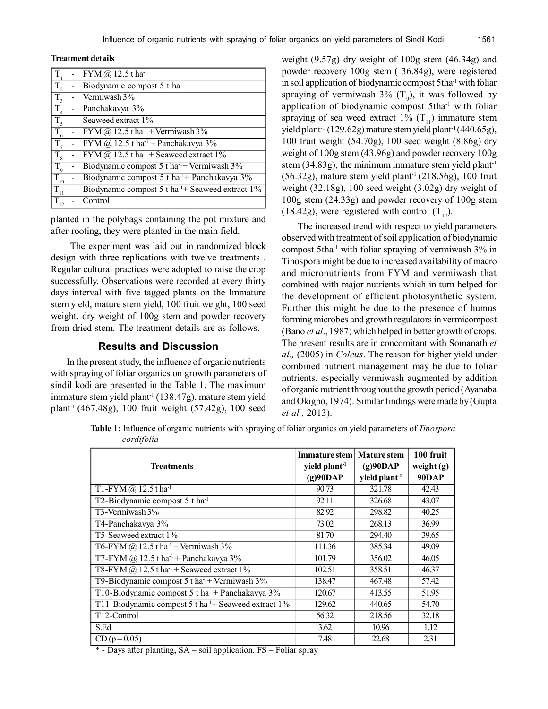#### **Treatment details**

| T                | - FYM @ $12.5$ t ha <sup>-1</sup>                                |
|------------------|------------------------------------------------------------------|
| T.               | Biodynamic compost 5 t ha <sup>-1</sup>                          |
| $\overline{T}_3$ | Vermiwash 3%                                                     |
| T.               | Panchakavya 3%                                                   |
|                  | Seaweed extract 1%                                               |
|                  | FYM $(a)$ 12.5 t ha <sup>-1</sup> + Vermiwash 3%                 |
| T.               | FYM $(a)$ 12.5 t ha <sup>-1</sup> + Panchakavya 3%               |
|                  | FYM $\omega$ 12.5 t ha <sup>-1</sup> + Seaweed extract 1%        |
| $T_{\rm q}$      | Biodynamic compost 5 t ha <sup>-1+</sup> Vermiwash 3%            |
| $\Gamma_{10}$    | Biodynamic compost 5 t ha <sup>-1</sup> + Panchakavya 3%         |
| 11               | Biodynamic compost $5$ t ha <sup>-1+</sup> Seaweed extract $1\%$ |
|                  | Control                                                          |

planted in the polybags containing the pot mixture and after rooting, they were planted in the main field.

 The experiment was laid out in randomized block design with three replications with twelve treatments . Regular cultural practices were adopted to raise the crop successfully. Observations were recorded at every thirty days interval with five tagged plants on the Immature stem yield, mature stem yield, 100 fruit weight, 100 seed weight, dry weight of 100g stem and powder recovery from dried stem. The treatment details are as follows.

## **Results and Discussion**

In the present study, the influence of organic nutrients with spraying of foliar organics on growth parameters of sindil kodi are presented in the Table 1. The maximum immature stem yield plant<sup>-1</sup> (138.47g), mature stem yield plant-1 (467.48g), 100 fruit weight (57.42g), 100 seed

weight (9.57g) dry weight of 100g stem (46.34g) and powder recovery 100g stem ( 36.84g), were registered in soil application of biodynamic compost 5tha-1 with foliar spraying of vermiwash  $3\%$  (T<sub>9</sub>), it was followed by application of biodynamic compost 5tha-1 with foliar spraying of sea weed extract 1%  $(T_{11})$  immature stem yield plant<sup>-1</sup> (129.62g) mature stem yield plant<sup>-1</sup> (440.65g), 100 fruit weight (54.70g), 100 seed weight (8.86g) dry weight of 100g stem (43.96g) and powder recovery 100g stem  $(34.83g)$ , the minimum immature stem yield plant<sup>-1</sup>  $(56.32g)$ , mature stem yield plant<sup>-1</sup>  $(218.56g)$ , 100 fruit weight (32.18g), 100 seed weight (3.02g) dry weight of 100g stem (24.33g) and powder recovery of 100g stem (18.42g), were registered with control  $(T_{12})$ .

The increased trend with respect to yield parameters observed with treatment of soil application of biodynamic compost 5tha-1 with foliar spraying of vermiwash 3% in Tinospora might be due to increased availability of macro and micronutrients from FYM and vermiwash that combined with major nutrients which in turn helped for the development of efficient photosynthetic system. Further this might be due to the presence of humus forming microbes and growth regulators in vermicompost (Bano *et al*., 1987) which helped in better growth of crops. The present results are in concomitant with Somanath *et al.,* (2005) in *Coleus*. The reason for higher yield under combined nutrient management may be due to foliar nutrients, especially vermiwash augmented by addition of organic nutrient throughout the growth period (Ayanaba and Okigbo, 1974). Similar findings were made by (Gupta *et al.,* 2013).

**Table 1:** Influence of organic nutrients with spraying of foliar organics on yield parameters of *Tinospora cordifolia*

| <b>Treatments</b>                                               | <b>Immature</b> stem<br>yield plant <sup>-1</sup><br>(g)90DAP | <b>Mature stem</b><br>(g)90DAP<br>yield plant <sup>-1</sup> | 100 fruit<br>weight $(g)$<br>90DAP |
|-----------------------------------------------------------------|---------------------------------------------------------------|-------------------------------------------------------------|------------------------------------|
| T1-FYM @ $12.5$ t ha <sup>-1</sup>                              | 90.73                                                         | 321.78                                                      | 42.43                              |
| T2-Biodynamic compost 5 t ha <sup>-1</sup>                      | 92.11                                                         | 326.68                                                      | 43.07                              |
| T3-Vermiwash 3%                                                 | 82.92                                                         | 298.82                                                      | 40.25                              |
| T4-Panchakavya 3%                                               | 73.02                                                         | 268.13                                                      | 36.99                              |
| T5-Seaweed extract 1%                                           | 81.70                                                         | 294.40                                                      | 39.65                              |
| T6-FYM @ 12.5 t ha <sup>-1</sup> + Vermiwash 3%                 | 111.36                                                        | 385.34                                                      | 49.09                              |
| T7-FYM @ 12.5 t ha <sup>-1</sup> + Panchakavya 3%               | 101.79                                                        | 356.02                                                      | 46.05                              |
| T8-FYM $\omega$ 12.5 t ha <sup>-1</sup> + Seaweed extract 1%    | 102.51                                                        | 358.51                                                      | 46.37                              |
| T9-Biodynamic compost 5 t ha <sup>-1+</sup> Vermiwash 3%        | 138.47                                                        | 467.48                                                      | 57.42                              |
| T10-Biodynamic compost 5 t ha <sup>-1</sup> + Panchakavya 3%    | 120.67                                                        | 413.55                                                      | 51.95                              |
| T11-Biodynamic compost 5 t ha <sup>-1+</sup> Seaweed extract 1% | 129.62                                                        | 440.65                                                      | 54.70                              |
| T <sub>12</sub> -Control                                        | 56.32                                                         | 218.56                                                      | 32.18                              |
| S.Ed                                                            | 3.62                                                          | 10.96                                                       | 1.12                               |
| $CD (p=0.05)$                                                   | 7.48                                                          | 22.68                                                       | 2.31                               |

\* - Days after planting, SA – soil application, FS – Foliar spray